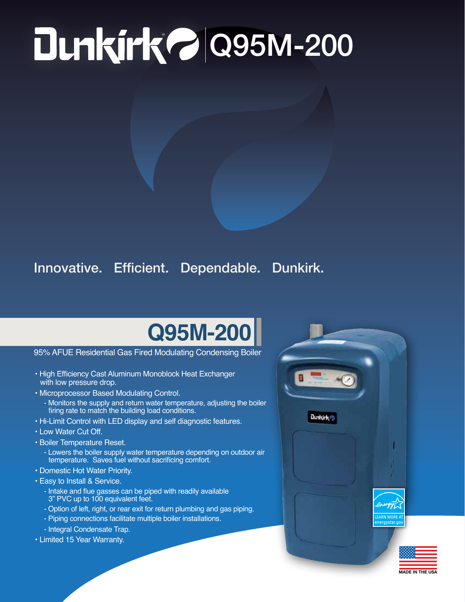## ® Q95M-200

## Innovative. Efficient. Dependable. Dunkirk.

## **Q95M-200**

95% AFUE Residential Gas Fired Modulating Condensing Boiler

- High Efficiency Cast Aluminum Monoblock Heat Exchanger with low pressure drop.
- Microprocessor Based Modulating Control.
	- Monitors the supply and return water temperature, adjusting the boiler firing rate to match the building load conditions.
- Hi-Limit Control with LED display and self diagnostic features.
- Low Water Cut Off.
- Boiler Temperature Reset.
	- Lowers the boiler supply water temperature depending on outdoor air temperature. Saves fuel without sacrificing comfort.
- Domestic Hot Water Priority.
- Easy to Install & Service.
	- Intake and flue gasses can be piped with readily available 3" PVC up to 100 equivalent feet.
	- Option of left, right, or rear exit for return plumbing and gas piping.
	- Piping connections facilitate multiple boiler installations.
	- Integral Condensate Trap.
- Limited 15 Year Warranty.